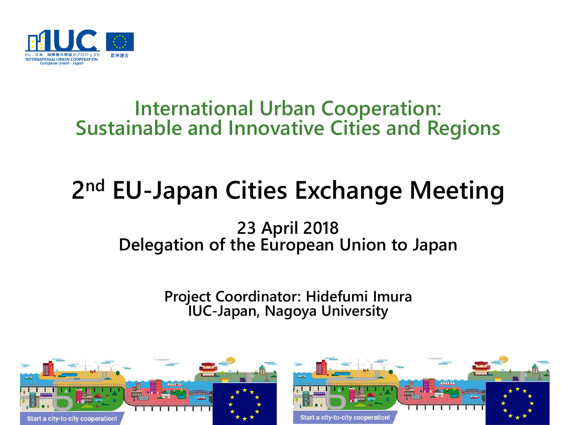

## **International Urban Cooperation: Sustainable and Innovative Cities and Regions**

# **2 nd EU-Japan Cities Exchange Meeting**

### **23 April 2018 Delegation of the European Union to Japan**

**Project Coordinator: Hidefumi Imura IUC-Japan, Nagoya University**

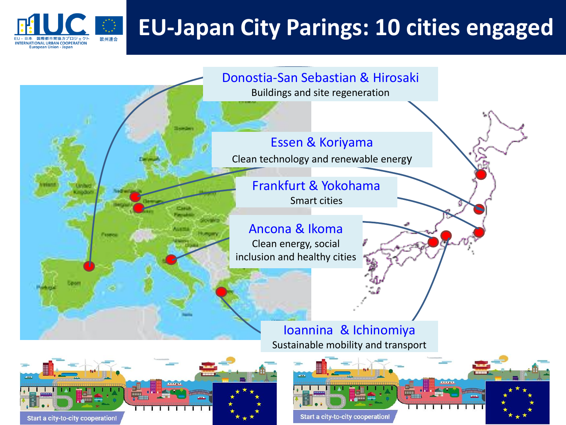

## **EU-Japan City Parings: 10 cities engaged**





Start a city-to-city cooperation!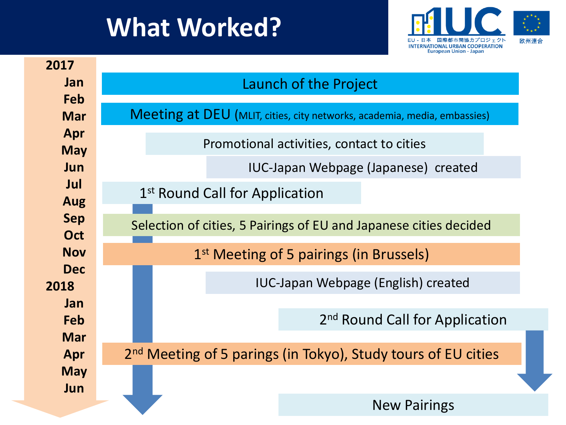# **What Worked?**



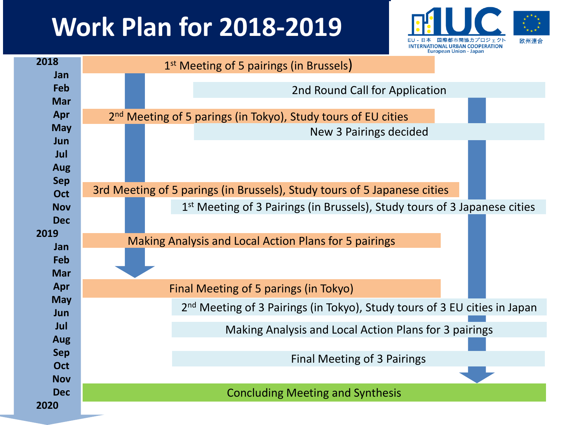# **Work Plan for 2018-2019**



| 2018        | 1 <sup>st</sup> Meeting of 5 pairings (in Brussels)                                   |
|-------------|---------------------------------------------------------------------------------------|
| Jan<br>Feb  | 2nd Round Call for Application                                                        |
| <b>Mar</b>  |                                                                                       |
| Apr         | 2 <sup>nd</sup> Meeting of 5 parings (in Tokyo), Study tours of EU cities             |
| <b>May</b>  | New 3 Pairings decided                                                                |
| Jun<br>Jul  |                                                                                       |
| <b>Aug</b>  |                                                                                       |
| <b>Sep</b>  |                                                                                       |
| <b>Oct</b>  | 3rd Meeting of 5 parings (in Brussels), Study tours of 5 Japanese cities              |
| <b>Nov</b>  | 1 <sup>st</sup> Meeting of 3 Pairings (in Brussels), Study tours of 3 Japanese cities |
| <b>Dec</b>  |                                                                                       |
| 2019<br>Jan | Making Analysis and Local Action Plans for 5 pairings                                 |
| Feb         |                                                                                       |
| <b>Mar</b>  |                                                                                       |
| Apr         | Final Meeting of 5 parings (in Tokyo)                                                 |
| <b>May</b>  | 2 <sup>nd</sup> Meeting of 3 Pairings (in Tokyo), Study tours of 3 EU cities in Japan |
| Jun<br>Jul  |                                                                                       |
| Aug         | Making Analysis and Local Action Plans for 3 pairings                                 |
| <b>Sep</b>  |                                                                                       |
| <b>Oct</b>  | Final Meeting of 3 Pairings                                                           |
| <b>Nov</b>  |                                                                                       |
| <b>Dec</b>  | <b>Concluding Meeting and Synthesis</b>                                               |
| 2020        |                                                                                       |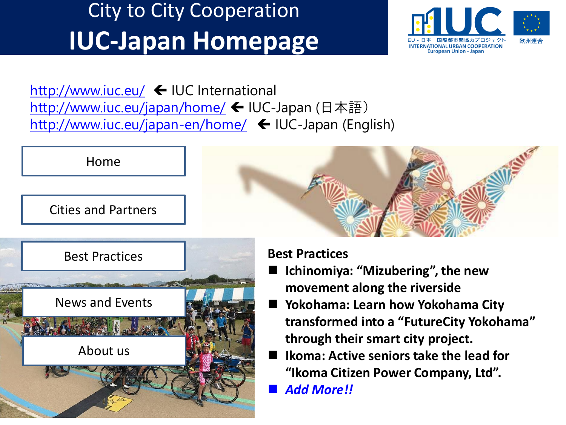# City to City Cooperation **IUC-Japan Homepage**



<http://www.iuc.eu/>  $\leftarrow$  IUC International <http://www.iuc.eu/japan/home/> ← IUC-Japan (日本語) <http://www.iuc.eu/japan-en/home/> ← IUC-Japan (English)



News and Events About us

- **movement along the riverside**
- **Yokohama: Learn how Yokohama City transformed into a "FutureCity Yokohama" through their smart city project.**
- **Ikoma: Active seniors take the lead for "Ikoma Citizen Power Company, Ltd".**
- *Add More!!*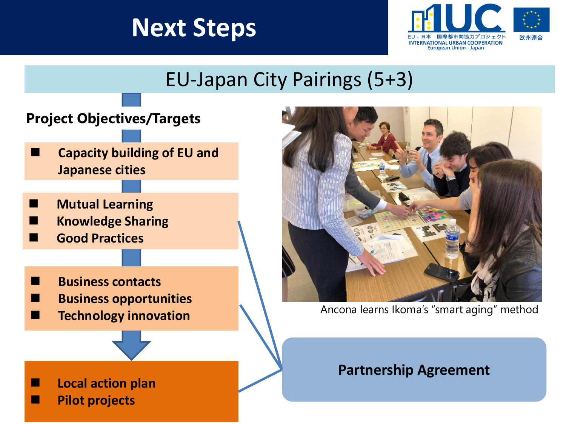## **Next Steps**



## EU-Japan City Pairings (5+3)

### **Project Objectives/Targets**

- **Capacity building of EU and Japanese cities**
- **Mutual Learning**
- **Knowledge Sharing**
- **Good Practices**
- **Business contacts**
- **Business opportunities**
- **Technology innovation**



Ancona learns Ikoma's "smart aging" method

### **Partnership Agreement**

- **Local action plan**
- **Pilot projects**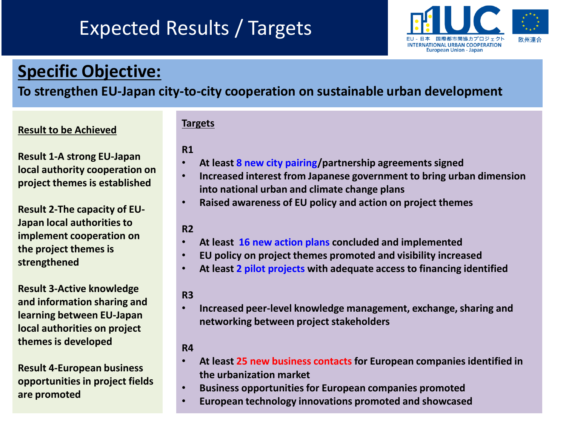## Expected Results / Targets



### **Specific Objective:**

### **To strengthen EU-Japan city-to-city cooperation on sustainable urban development**

### **Result to be Achieved**

**Targets**

### **R1**

- **At least 8 new city pairing/partnership agreements signed**
- **Increased interest from Japanese government to bring urban dimension into national urban and climate change plans**
- **Raised awareness of EU policy and action on project themes**

#### **R2**

- **At least 16 new action plans concluded and implemented**
- **EU policy on project themes promoted and visibility increased**
- **At least 2 pilot projects with adequate access to financing identified**

#### **R3**

• **Increased peer-level knowledge management, exchange, sharing and networking between project stakeholders**

#### **R4**

- **At least 25 new business contacts for European companies identified in the urbanization market**
- **Business opportunities for European companies promoted**
- **European technology innovations promoted and showcased**

**Result 1-A strong EU-Japan local authority cooperation on project themes is established**

**Result 2-The capacity of EU-Japan local authorities to implement cooperation on the project themes is strengthened**

**Result 3-Active knowledge and information sharing and learning between EU-Japan local authorities on project themes is developed**

**Result 4-European business opportunities in project fields are promoted**